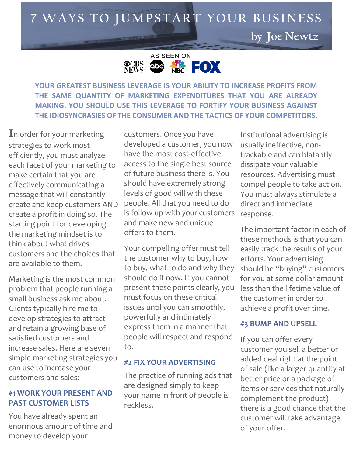**7 WA YS T O J U M P S T A R T YOU R B U S I N E S S**

**by Joe Newtz**



**YOUR GREATEST BUSINESS LEVERAGE IS YOUR ABILITY TO INCREASE PROFITS FROM THE SAME QUANTITY OF MARKETING EXPENDITURES THAT YOU ARE ALREADY MAKING. YOU SHOULD USE THIS LEVERAGE TO FORTIFY YOUR BUSINESS AGAINST THE IDIOSYNCRASIES OF THE CONSUMER AND THE TACTICS OF YOUR COMPETITORS.** 

In order for your marketing strategies to work most efficiently, you must analyze each facet of your marketing to make certain that you are effectively communicating a message that will constantly create and keep customers AND create a profit in doing so. The starting point for developing the marketing mindset is to think about what drives customers and the choices that are available to them.

Marketing is the most common problem that people running a small business ask me about. Clients typically hire me to develop strategies to attract and retain a growing base of satisfied customers and increase sales. Here are seven simple marketing strategies you can use to increase your customers and sales:

### **#1 WORK YOUR PRESENT AND PAST CUSTOMER LISTS**

You have already spent an enormous amount of time and money to develop your

customers. Once you have developed a customer, you now have the most cost-effective access to the single best source of future business there is. You should have extremely strong levels of good will with these people. All that you need to do is follow up with your customers and make new and unique offers to them.

Your compelling offer must tell the customer why to buy, how to buy, what to do and why they should do it now. If you cannot present these points clearly, you must focus on these critical issues until you can smoothly, powerfully and intimately express them in a manner that people will respect and respond to.

## **#2 FIX YOUR ADVERTISING**

The practice of running ads that are designed simply to keep your name in front of people is reckless.

Institutional advertising is usually ineffective, nontrackable and can blatantly dissipate your valuable resources. Advertising must compel people to take action. You must always stimulate a direct and immediate response.

The important factor in each of these methods is that you can easily track the results of your efforts. Your advertising should be "buying" customers for you at some dollar amount less than the lifetime value of the customer in order to achieve a profit over time.

## **#3 BUMP AND UPSELL**

If you can offer every customer you sell a better or added deal right at the point of sale (like a larger quantity at better price or a package of items or services that naturally complement the product) there is a good chance that the customer will take advantage of your offer.